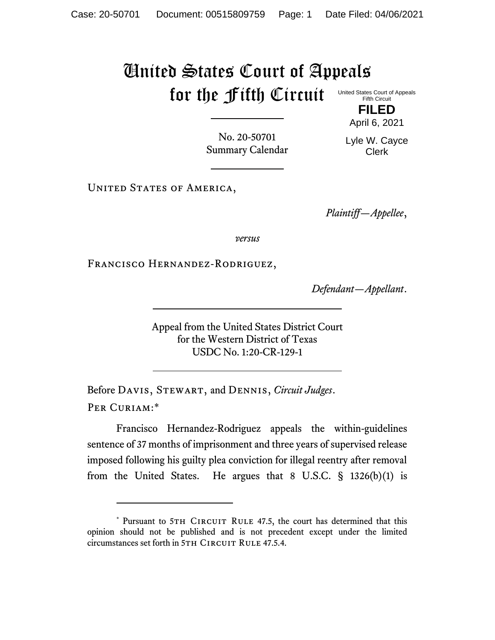## United States Court of Appeals for the Fifth Circuit

United States Court of Appeals Fifth Circuit

> **FILED** April 6, 2021

No. 20-50701 Summary Calendar Lyle W. Cayce Clerk

UNITED STATES OF AMERICA,

*Plaintiff—Appellee*,

*versus*

Francisco Hernandez-Rodriguez,

*Defendant—Appellant*.

Appeal from the United States District Court for the Western District of Texas USDC No. 1:20-CR-129-1

Before Davis, Stewart, and Dennis, *Circuit Judges*. Per Curiam:\*

Francisco Hernandez-Rodriguez appeals the within-guidelines sentence of 37 months of imprisonment and three years of supervised release imposed following his guilty plea conviction for illegal reentry after removal from the United States. He argues that 8 U.S.C. § 1326(b)(1) is

<sup>\*</sup> Pursuant to 5TH CIRCUIT RULE 47.5, the court has determined that this opinion should not be published and is not precedent except under the limited circumstances set forth in 5TH CIRCUIT RULE 47.5.4.